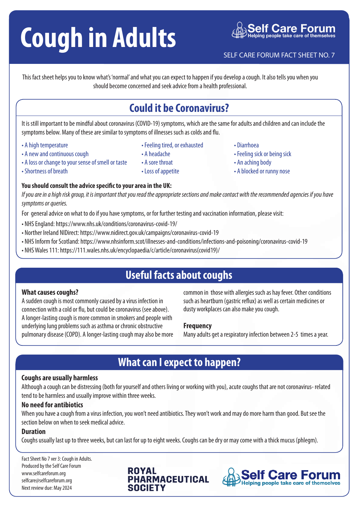# **Cough in Adults**<br>
SELF CARE FORUM FACT SHEET NO. 7

This fact sheet helps you to know what's 'normal' and what you can expect to happen if you develop a cough. It also tells you when you should become concerned and seek advice from a health professional.

## **Could it be Coronavirus?**

It is still important to be mindful about coronavirus (COVID-19) symptoms, which are the same for adults and children and can include the symptoms below. Many of these are similar to symptoms of illnesses such as colds and flu.

• Feeling tired, or exhausted

- A high temperature
- A new and continuous cough
- A loss or change to your sense of smell or taste
- Shortness of breath
- 

#### **You should consult the advice specific to your area in the UK:**

*If you are in a high risk group, it is important that you read the appropriate sections and make contact with the recommended agencies if you have symptoms or queries.*

For general advice on what to do if you have symptoms, or for further testing and vaccination information, please visit:

• A headache • A sore throat • Loss of appetite

- NHS England: https://www.nhs.uk/conditions/coronavirus-covid-19/
- Norther Ireland NIDirect: https://www.nidirect.gov.uk/campaigns/coronavirus-covid-19
- NHS Inform for Scotland: https://www.nhsinform.scot/illnesses-and-conditions/infections-and-poisoning/coronavirus-covid-19
- NHS Wales 111: https://111.wales.nhs.uk/encyclopaedia/c/article/coronavirus(covid19)/

## **Useful facts about coughs**

#### **What causes coughs?**

A sudden cough is most commonly caused by a virus infection in connection with a cold or flu, but could be coronavirus (see above). A longer-lasting cough is more common in smokers and people with underlying lung problems such as asthma or chronic obstructive pulmonary disease (COPD). A longer-lasting cough may also be more common in those with allergies such as hay fever. Other conditions such as heartburn (gastric reflux) as well as certain medicines or dusty workplaces can also make you cough.

#### **Frequency**

Many adults get a respiratory infection between 2-5 times a year.

## **What can I expect to happen?**

#### **Coughs are usually harmless**

Although a cough can be distressing (both for yourself and others living or working with you), acute coughs that are not coronavirus- related tend to be harmless and usually improve within three weeks.

#### **No need for antibiotics**

When you have a cough from a virus infection, you won't need antibiotics. They won't work and may do more harm than good. But see the section below on when to seek medical advice.

#### **Duration**

Coughs usually last up to three weeks, but can last for up to eight weeks. Coughs can be dry or may come with a thick mucus (phlegm).

Fact Sheet No 7 ver 3: Cough in Adults. Produced by the Self Care Forum www.selfcareforum.org selfcare@selfcareforum.org Next review due: May 2024

### **ROYAL PHARMACEUTICAL SOCIET**



- Diarrhoea
- Feeling sick or being sick
- An aching body
- A blocked or runny nose